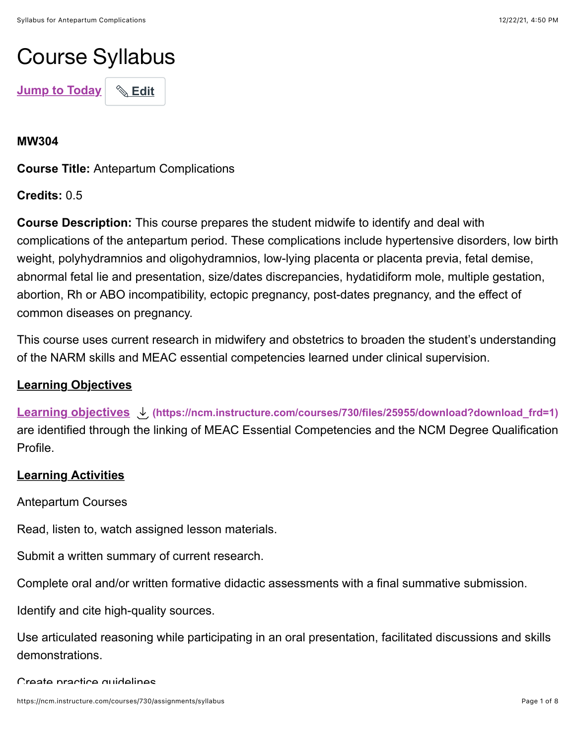# Course Syllabus

**[Jump to Today](https://ncm.instructure.com/courses/730/assignments/syllabus#)** | **<u>Bdit</u>** 

**MW304**

**Course Title:** Antepartum Complications

**Credits:** 0.5

**Course Description:** This course prepares the student midwife to identify and deal with complications of the antepartum period. These complications include hypertensive disorders, low birth weight, polyhydramnios and oligohydramnios, low-lying placenta or placenta previa, fetal demise, abnormal fetal lie and presentation, size/dates discrepancies, hydatidiform mole, multiple gestation, abortion, Rh or ABO incompatibility, ectopic pregnancy, post-dates pregnancy, and the effect of common diseases on pregnancy.

This course uses current research in midwifery and obstetrics to broaden the student's understanding of the NARM skills and MEAC essential competencies learned under clinical supervision.

## **Learning Objectives**

**[Learning objectives](https://ncm.instructure.com/courses/730/files/25955/download?wrap=1) [\(https://ncm.instructure.com/courses/730/files/25955/download?download\\_frd=1\)](https://ncm.instructure.com/courses/730/files/25955/download?download_frd=1)** are identified through the linking of MEAC Essential Competencies and the NCM Degree Qualification Profile.

## **Learning Activities**

Antepartum Courses

Read, listen to, watch assigned lesson materials.

Submit a written summary of current research.

Complete oral and/or written formative didactic assessments with a final summative submission.

Identify and cite high-quality sources.

Use articulated reasoning while participating in an oral presentation, facilitated discussions and skills demonstrations.

Create practice quidelines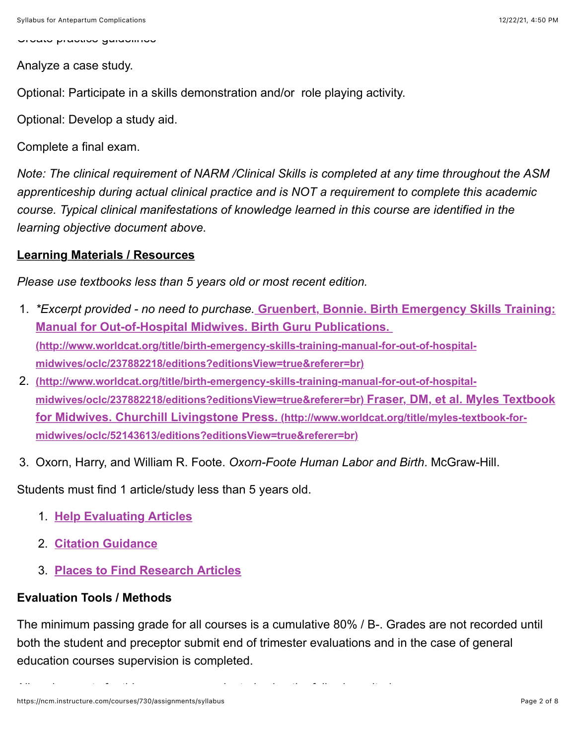Create practice guidelines

Analyze a case study.

Optional: Participate in a skills demonstration and/or role playing activity.

Optional: Develop a study aid.

Complete a final exam.

*Note: The clinical requirement of NARM /Clinical Skills is completed at any time throughout the ASM apprenticeship during actual clinical practice and is NOT a requirement to complete this academic course. Typical clinical manifestations of knowledge learned in this course are identified in the learning objective document above.*

### **Learning Materials / Resources**

*Please use textbooks less than 5 years old or most recent edition.*

- 1. *\*Excerpt provided no need to purchase.* **Gruenbert, Bonnie. Birth Emergency Skills Training: Manual for Out-of-Hospital Midwives. Birth Guru Publications. [\(http://www.worldcat.org/title/birth-emergency-skills-training-manual-for-out-of-hospital](http://www.worldcat.org/title/birth-emergency-skills-training-manual-for-out-of-hospital-midwives/oclc/237882218/editions?editionsView=true&referer=br)midwives/oclc/237882218/editions?editionsView=true&referer=br)**
- 2. **(http://www.worldcat.org/title/birth-emergency-skills-training-manual-for-out-of-hospital[midwives/oclc/237882218/editions?editionsView=true&referer=br\) Fraser, DM, et al. M](http://www.worldcat.org/title/birth-emergency-skills-training-manual-for-out-of-hospital-midwives/oclc/237882218/editions?editionsView=true&referer=br)[yles Textbook](http://www.worldcat.org/title/myles-textbook-for-midwives/oclc/52143613/editions?editionsView=true&referer=br) for Midwives. Churchill Livingstone Press. (http://www.worldcat.org/title/myles-textbook-formidwives/oclc/52143613/editions?editionsView=true&referer=br)**
- 3. Oxorn, Harry, and William R. Foote. *Oxorn-Foote Human Labor and Birth*. McGraw-Hill.

Students must find 1 article/study less than 5 years old.

- 1. **[Help Evaluating Articles](https://ncm.instructure.com/courses/196/pages/help-evaluating-research-articles?module_item_id=52408%20)**
- 2. **[Citation Guidance](https://ncm.instructure.com/courses/196/pages/works-cited?module_item_id=52407%C2%A0)**
- 3. **[Places to Find Research Articles](https://ncm.instructure.com/courses/196/pages/finding-research-articles?module_item_id=52578%C2%A0)**

# **Evaluation Tools / Methods**

The minimum passing grade for all courses is a cumulative 80% / B-. Grades are not recorded until both the student and preceptor submit end of trimester evaluations and in the case of general education courses supervision is completed.

All assignments for this course are evaluated using the following criteria: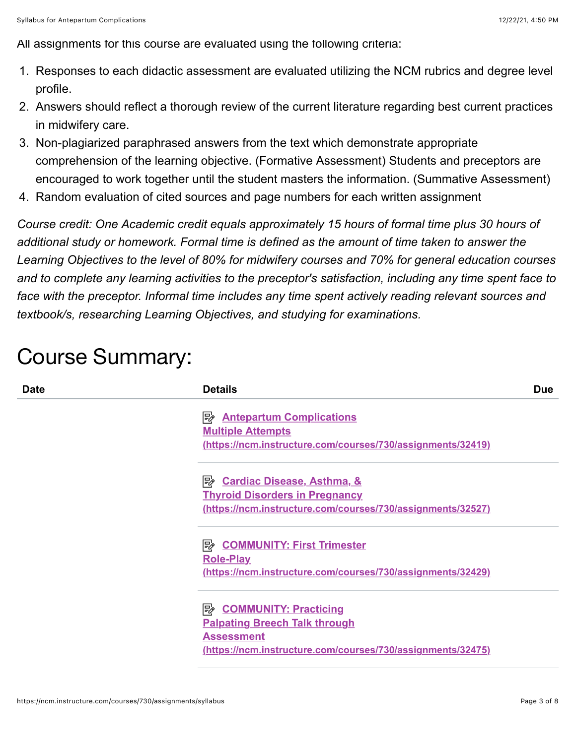All assignments for this course are evaluated using the following criteria:

- 1. Responses to each didactic assessment are evaluated utilizing the NCM rubrics and degree level profile.
- 2. Answers should reflect a thorough review of the current literature regarding best current practices in midwifery care.
- 3. Non-plagiarized paraphrased answers from the text which demonstrate appropriate comprehension of the learning objective. (Formative Assessment) Students and preceptors are encouraged to work together until the student masters the information. (Summative Assessment)
- 4. Random evaluation of cited sources and page numbers for each written assignment

*Course credit: One Academic credit equals approximately 15 hours of formal time plus 30 hours of additional study or homework. Formal time is defined as the amount of time taken to answer the Learning Objectives to the level of 80% for midwifery courses and 70% for general education courses and to complete any learning activities to the preceptor's satisfaction, including any time spent face to face with the preceptor. Informal time includes any time spent actively reading relevant sources and textbook/s, researching Learning Objectives, and studying for examinations.*

# Course Summary:

| <b>Date</b> | <b>Details</b>                                              | <b>Due</b> |
|-------------|-------------------------------------------------------------|------------|
|             | <b>B</b> Antepartum Complications                           |            |
|             | <b>Multiple Attempts</b>                                    |            |
|             | (https://ncm.instructure.com/courses/730/assignments/32419) |            |
|             |                                                             |            |
|             | <b>Thyroid Disorders in Pregnancy</b>                       |            |
|             | (https://ncm.instructure.com/courses/730/assignments/32527) |            |
|             | B COMMUNITY: First Trimester                                |            |
|             | <b>Role-Play</b>                                            |            |
|             | (https://ncm.instructure.com/courses/730/assignments/32429) |            |
|             | <b>B</b> COMMUNITY: Practicing                              |            |
|             | <b>Palpating Breech Talk through</b>                        |            |
|             | <b>Assessment</b>                                           |            |
|             | (https://ncm.instructure.com/courses/730/assignments/32475) |            |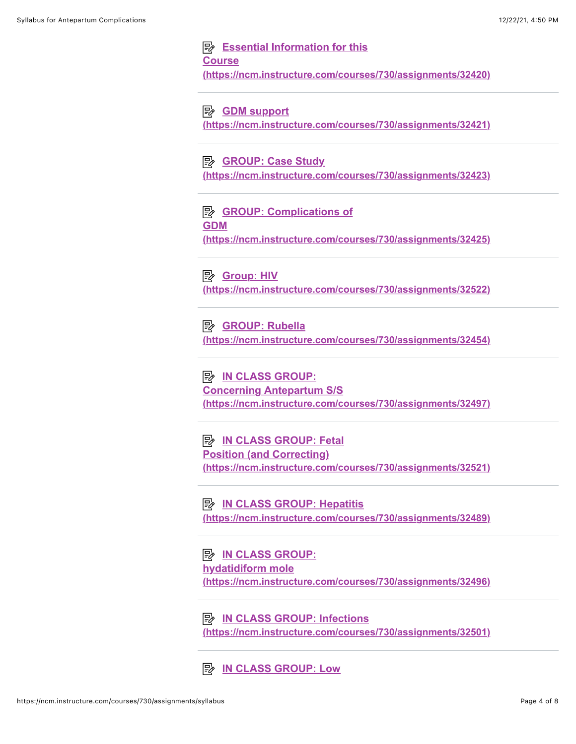### **Example 15 Essential Information for this Course [\(https://ncm.instructure.com/courses/730/assignments/32420\)](https://ncm.instructure.com/courses/730/assignments/32420)**

**E** GDM support

**[\(https://ncm.instructure.com/courses/730/assignments/32421\)](https://ncm.instructure.com/courses/730/assignments/32421)**

### **B** GROUP: Case Study

**[\(https://ncm.instructure.com/courses/730/assignments/32423\)](https://ncm.instructure.com/courses/730/assignments/32423)**

**E** GROUP: Complications of **GDM [\(https://ncm.instructure.com/courses/730/assignments/32425\)](https://ncm.instructure.com/courses/730/assignments/32425)**

**B** Group: HIV **[\(https://ncm.instructure.com/courses/730/assignments/32522\)](https://ncm.instructure.com/courses/730/assignments/32522)**

**E** GROUP: Rubella **[\(https://ncm.instructure.com/courses/730/assignments/32454\)](https://ncm.instructure.com/courses/730/assignments/32454)**

**E** IN CLASS GROUP: **Concerning Antepartum S/S [\(https://ncm.instructure.com/courses/730/assignments/32497\)](https://ncm.instructure.com/courses/730/assignments/32497)**

**E** IN CLASS GROUP: Fetal **Position (and Correcting) [\(https://ncm.instructure.com/courses/730/assignments/32521\)](https://ncm.instructure.com/courses/730/assignments/32521)**

**EV IN CLASS GROUP: Hepatitis [\(https://ncm.instructure.com/courses/730/assignments/32489\)](https://ncm.instructure.com/courses/730/assignments/32489)**

**E** IN CLASS GROUP: **hydatidiform mole [\(https://ncm.instructure.com/courses/730/assignments/32496\)](https://ncm.instructure.com/courses/730/assignments/32496)**

**E** IN CLASS GROUP: Infections **[\(https://ncm.instructure.com/courses/730/assignments/32501\)](https://ncm.instructure.com/courses/730/assignments/32501)**

**E** [IN CLASS GROUP: Low](https://ncm.instructure.com/courses/730/assignments/32486)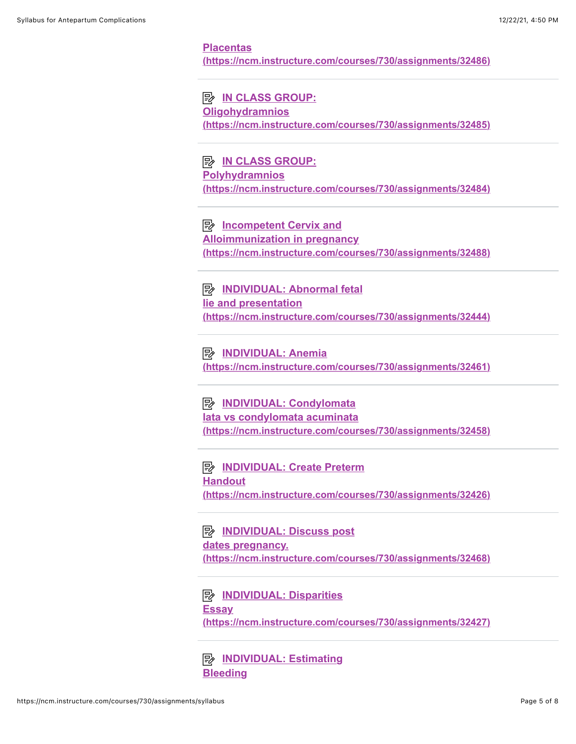#### **Placentas [\(https://ncm.instructure.com/courses/730/assignments/32486\)](https://ncm.instructure.com/courses/730/assignments/32486)**

**E** IN CLASS GROUP: **Oligohydramnios [\(https://ncm.instructure.com/courses/730/assignments/32485\)](https://ncm.instructure.com/courses/730/assignments/32485)**

**E** IN CLASS GROUP: **Polyhydramnios [\(https://ncm.instructure.com/courses/730/assignments/32484\)](https://ncm.instructure.com/courses/730/assignments/32484)**

**E** Incompetent Cervix and **Alloimmunization in pregnancy [\(https://ncm.instructure.com/courses/730/assignments/32488\)](https://ncm.instructure.com/courses/730/assignments/32488)**

**E INDIVIDUAL: Abnormal fetal lie and presentation [\(https://ncm.instructure.com/courses/730/assignments/32444\)](https://ncm.instructure.com/courses/730/assignments/32444)**

**E INDIVIDUAL: Anemia [\(https://ncm.instructure.com/courses/730/assignments/32461\)](https://ncm.instructure.com/courses/730/assignments/32461)**

**E INDIVIDUAL: Condylomata lata vs condylomata acuminata [\(https://ncm.instructure.com/courses/730/assignments/32458\)](https://ncm.instructure.com/courses/730/assignments/32458)**

**E INDIVIDUAL: Create Preterm Handout [\(https://ncm.instructure.com/courses/730/assignments/32426\)](https://ncm.instructure.com/courses/730/assignments/32426)**

**E INDIVIDUAL: Discuss post dates pregnancy. [\(https://ncm.instructure.com/courses/730/assignments/32468\)](https://ncm.instructure.com/courses/730/assignments/32468)**

**E INDIVIDUAL: Disparities Essay [\(https://ncm.instructure.com/courses/730/assignments/32427\)](https://ncm.instructure.com/courses/730/assignments/32427)**

**E [INDIVIDUAL: Estimating](https://ncm.instructure.com/courses/730/assignments/32428) Bleeding**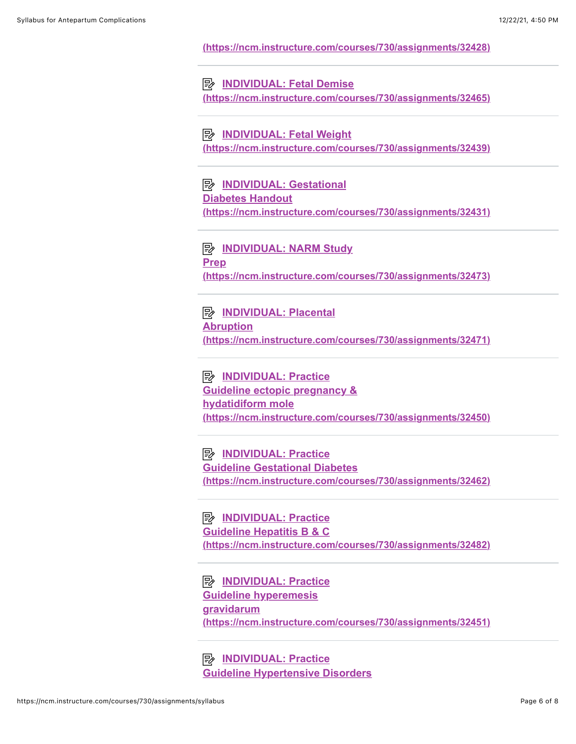**[\(https://ncm.instructure.com/courses/730/assignments/32428\)](https://ncm.instructure.com/courses/730/assignments/32428)**

**E INDIVIDUAL: Fetal Demise [\(https://ncm.instructure.com/courses/730/assignments/32465\)](https://ncm.instructure.com/courses/730/assignments/32465)**

**E INDIVIDUAL: Fetal Weight [\(https://ncm.instructure.com/courses/730/assignments/32439\)](https://ncm.instructure.com/courses/730/assignments/32439)**

**E INDIVIDUAL: Gestational Diabetes Handout [\(https://ncm.instructure.com/courses/730/assignments/32431\)](https://ncm.instructure.com/courses/730/assignments/32431)**

**E INDIVIDUAL: NARM Study Prep [\(https://ncm.instructure.com/courses/730/assignments/32473\)](https://ncm.instructure.com/courses/730/assignments/32473)**

**E INDIVIDUAL: Placental Abruption [\(https://ncm.instructure.com/courses/730/assignments/32471\)](https://ncm.instructure.com/courses/730/assignments/32471)**

**E INDIVIDUAL: Practice Guideline ectopic pregnancy & hydatidiform mole [\(https://ncm.instructure.com/courses/730/assignments/32450\)](https://ncm.instructure.com/courses/730/assignments/32450)**

**E INDIVIDUAL: Practice Guideline Gestational Diabetes [\(https://ncm.instructure.com/courses/730/assignments/32462\)](https://ncm.instructure.com/courses/730/assignments/32462)**

**E INDIVIDUAL: Practice Guideline Hepatitis B & C [\(https://ncm.instructure.com/courses/730/assignments/32482\)](https://ncm.instructure.com/courses/730/assignments/32482)**

**E INDIVIDUAL: Practice** 

**Guideline hyperemesis gravidarum [\(https://ncm.instructure.com/courses/730/assignments/32451\)](https://ncm.instructure.com/courses/730/assignments/32451)**

**E INDIVIDUAL: Practice [Guideline Hypertensive Disorders](https://ncm.instructure.com/courses/730/assignments/32466)**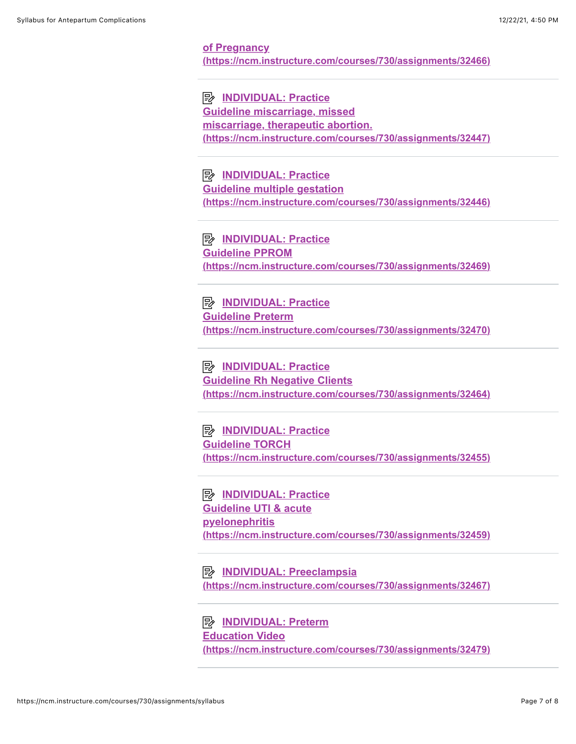#### **of Pregnancy [\(https://ncm.instructure.com/courses/730/assignments/32466\)](https://ncm.instructure.com/courses/730/assignments/32466)**

**E INDIVIDUAL: Practice Guideline miscarriage, missed miscarriage, therapeutic abortion. [\(https://ncm.instructure.com/courses/730/assignments/32447\)](https://ncm.instructure.com/courses/730/assignments/32447)**

**E INDIVIDUAL: Practice Guideline multiple gestation [\(https://ncm.instructure.com/courses/730/assignments/32446\)](https://ncm.instructure.com/courses/730/assignments/32446)**

**E INDIVIDUAL: Practice Guideline PPROM [\(https://ncm.instructure.com/courses/730/assignments/32469\)](https://ncm.instructure.com/courses/730/assignments/32469)**

**E INDIVIDUAL: Practice Guideline Preterm [\(https://ncm.instructure.com/courses/730/assignments/32470\)](https://ncm.instructure.com/courses/730/assignments/32470)**

**E INDIVIDUAL: Practice Guideline Rh Negative Clients [\(https://ncm.instructure.com/courses/730/assignments/32464\)](https://ncm.instructure.com/courses/730/assignments/32464)**

**E INDIVIDUAL: Practice Guideline TORCH [\(https://ncm.instructure.com/courses/730/assignments/32455\)](https://ncm.instructure.com/courses/730/assignments/32455)**

**E INDIVIDUAL: Practice Guideline UTI & acute pyelonephritis [\(https://ncm.instructure.com/courses/730/assignments/32459\)](https://ncm.instructure.com/courses/730/assignments/32459)**

**EXAINDIVIDUAL: Preeclampsia [\(https://ncm.instructure.com/courses/730/assignments/32467\)](https://ncm.instructure.com/courses/730/assignments/32467)**

**E** INDIVIDUAL: Preterm **Education Video [\(https://ncm.instructure.com/courses/730/assignments/32479\)](https://ncm.instructure.com/courses/730/assignments/32479)**